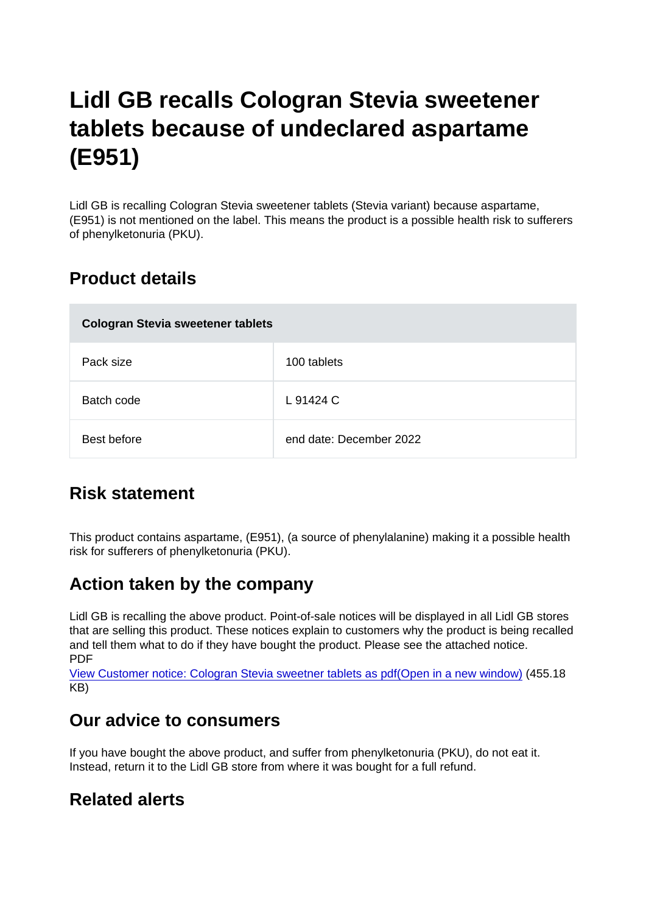# Lidl GB recalls Cologran Stevia sweetener tablets because of undeclared aspartame (E951)

Lidl GB is recalling Cologran Stevia sweetener tablets (Stevia variant) because aspartame, (E951) is not mentioned on the label. This means the product is a possible health risk to sufferers of phenylketonuria (PKU).

### Product details

| Cologran Stevia sweetener tablets |                         |
|-----------------------------------|-------------------------|
| Pack size                         | 100 tablets             |
| Batch code                        | L 91424 C               |
| Best before                       | end date: December 2022 |

## Risk statement

This product contains aspartame, (E951), (a source of phenylalanine) making it a possible health risk for sufferers of phenylketonuria (PKU).

### Action taken by the company

Lidl GB is recalling the above product. Point-of-sale notices will be displayed in all Lidl GB stores that are selling this product. These notices explain to customers why the product is being recalled and tell them what to do if they have bought the product. Please see the attached notice. PDF

[View Customer notice: Cologran Stevia sweetner tablets as pdf\(Open in a new window\)](https://s3-eu-west-1.amazonaws.com/fsa-alerts-files/production/FSA-PRIN-45-2020/Customer-notice-Cologran-Stevia-sweetener-tablets.pdf) (455.18 KB)

#### Our advice to consumers

If you have bought the above product, and suffer from phenylketonuria (PKU), do not eat it. Instead, return it to the Lidl GB store from where it was bought for a full refund.

#### Related alerts